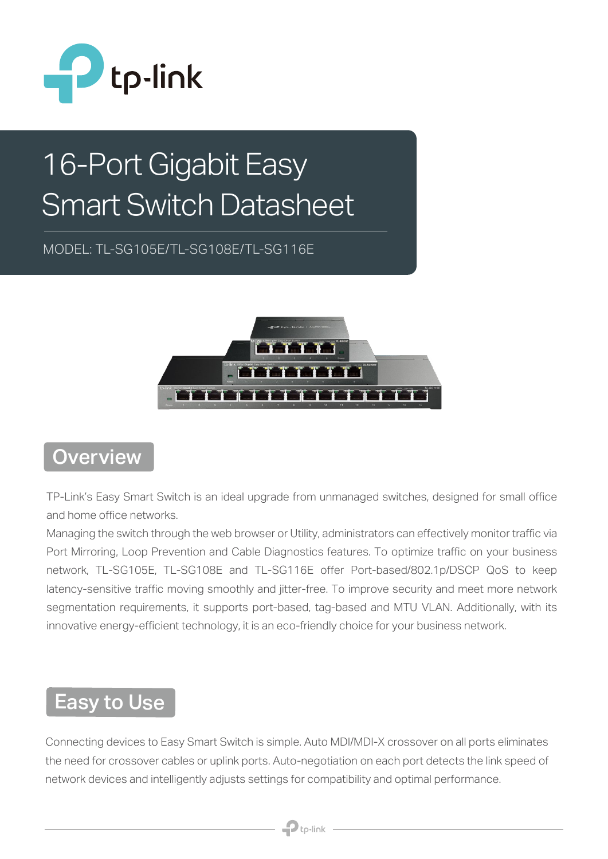

# 16-Port Gigabit Easy Smart Switch Datasheet

MODEL: TL-SG105E/TL-SG108E/TL-SG116E



#### **Overview**

TP-Link's Easy Smart Switch is an ideal upgrade from unmanaged switches, designed for small office and home office networks.

Managing the switch through the web browser or Utility, administrators can effectively monitor traffic via Port Mirroring, Loop Prevention and Cable Diagnostics features. To optimize traffic on your business network, TL-SG105E, TL-SG108E and TL-SG116E offer Port-based/802.1p/DSCP QoS to keep latency-sensitive traffic moving smoothly and jitter-free. To improve security and meet more network segmentation requirements, it supports port-based, tag-based and MTU VLAN. Additionally, with its innovative energy-efficient technology, it is an eco-friendly choice for your business network.

### Easy to Use

Connecting devices to Easy Smart Switch is simple. Auto MDI/MDI-X crossover on all ports eliminates the need for crossover cables or uplink ports. Auto-negotiation on each port detects the link speed of network devices and intelligently adjusts settings for compatibility and optimal performance.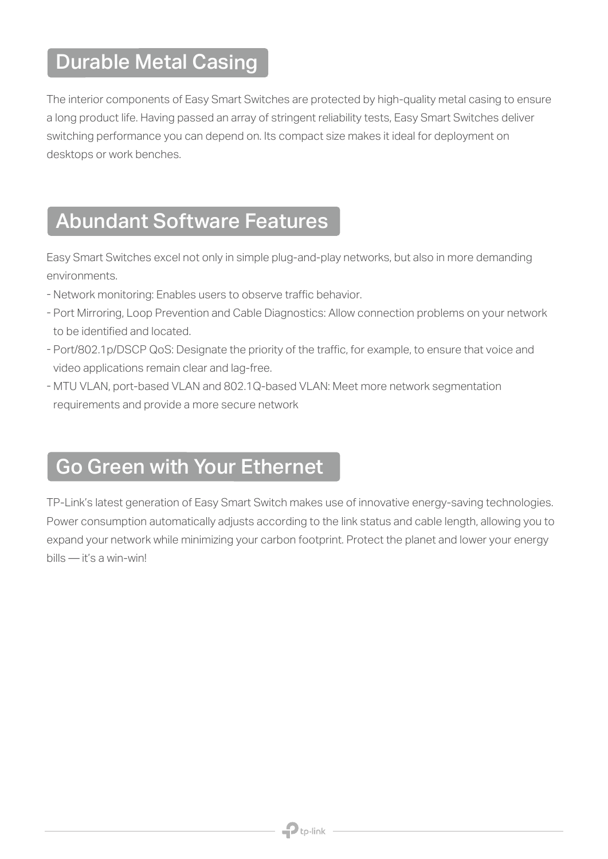#### Durable Metal Casing

The interior components of Easy Smart Switches are protected by high-quality metal casing to ensure a long product life. Having passed an array of stringent reliability tests, Easy Smart Switches deliver switching performance you can depend on. Its compact size makes it ideal for deployment on desktops or work benches.

#### Abundant Software Features

Easy Smart Switches excel not only in simple plug-and-play networks, but also in more demanding environments.

- Network monitoring: Enables users to observe traffic behavior.
- Port Mirroring, Loop Prevention and Cable Diagnostics: Allow connection problems on your network be identified and located. to be identified and located.
- Port/802.1p/DSCP QoS: Designate the priority of the traffic, for example, to ensure that voice and video applications remain clear and lag-free.
- MTU VLAN, port-based VLAN and 802.1Q-based VLAN: Meet more network segmentation requirements and provide a more secure network

#### Go Green with Your Ethernet

TP-Link's latest generation of Easy Smart Switch makes use of innovative energy-saving technologies. Power consumption automatically adjusts according to the link status and cable length, allowing you to expand your network while minimizing your carbon footprint. Protect the planet and lower your energy bills — it's a win-win!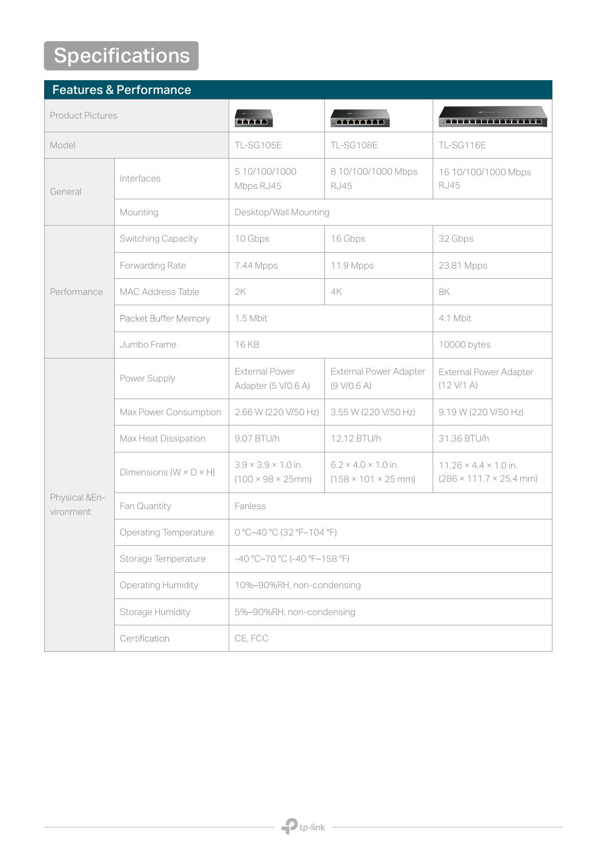## **Specifications**

| <b>Features &amp; Performance</b> |                                      |                                                                          |                                                                    |                                                                                  |  |
|-----------------------------------|--------------------------------------|--------------------------------------------------------------------------|--------------------------------------------------------------------|----------------------------------------------------------------------------------|--|
| <b>Product Pictures</b>           |                                      | <b>ALTER</b>                                                             | en termen                                                          | <b>.</b>                                                                         |  |
| Model                             |                                      | TL-SG105E                                                                | TL-SG108E                                                          | TL-SG116E                                                                        |  |
| General                           | Interfaces                           | 5 10/100/1000<br>Mbps RJ45                                               | 8 10/100/1000 Mbps<br><b>RJ45</b>                                  | 16 10/100/1000 Mbps<br><b>RJ45</b>                                               |  |
|                                   | Mounting                             | Desktop/Wall Mounting                                                    |                                                                    |                                                                                  |  |
| Performance                       | Switching Capacity                   | 10 Gbps                                                                  | 16 Gbps                                                            | 32 Gbps                                                                          |  |
|                                   | Forwarding Rate                      | 7.44 Mpps                                                                | 11.9 Mpps                                                          | 23.81 Mpps                                                                       |  |
|                                   | <b>MAC Address Table</b>             | 2K                                                                       | 4K                                                                 | 8K                                                                               |  |
|                                   | Packet Buffer Memory                 | 1.5 Mbit                                                                 |                                                                    | 4.1 Mbit                                                                         |  |
|                                   | Jumbo Frame                          | 16 KB                                                                    |                                                                    | 10000 bytes                                                                      |  |
| Physical &En-<br>vironment        | Power Supply                         | <b>External Power</b><br>Adapter (5 V/0.6 A)                             | <b>External Power Adapter</b><br>(9 V/0.6 A)                       | <b>External Power Adapter</b><br>(12 V/1 A)                                      |  |
|                                   | Max Power Consumption                | 2.66 W (220 V/50 Hz)                                                     | 3.55 W (220 V/50 Hz)                                               | 9.19 W (220 V/50 Hz)                                                             |  |
|                                   | Max Heat Dissipation                 | 9.07 BTU/h                                                               | 12.12 BTU/h                                                        | 31.36 BTU/h                                                                      |  |
|                                   | Dimensions ( $W \times D \times H$ ) | $3.9 \times 3.9 \times 1.0$ in.<br>$(100 \times 98 \times 25 \text{mm})$ | $6.2 \times 4.0 \times 1.0$ in.<br>$(158 \times 101 \times 25$ mm) | $11.26 \times 4.4 \times 1.0$ in.<br>$(286 \times 111.7 \times 25.4 \text{ mm})$ |  |
|                                   | Fan Quantity                         | Fanless                                                                  |                                                                    |                                                                                  |  |
|                                   | <b>Operating Temperature</b>         | 0 °C-40 °C (32 °F-104 °F)                                                |                                                                    |                                                                                  |  |
|                                   | Storage Temperature                  | $-40$ °C-70 °C (-40 °F-158 °F)                                           |                                                                    |                                                                                  |  |
|                                   | <b>Operating Humidity</b>            | 10%-90%RH, non-condensing                                                |                                                                    |                                                                                  |  |
|                                   | Storage Humidity                     | 5%-90%RH, non-condensing                                                 |                                                                    |                                                                                  |  |
|                                   | Certification                        | CE, FCC                                                                  |                                                                    |                                                                                  |  |